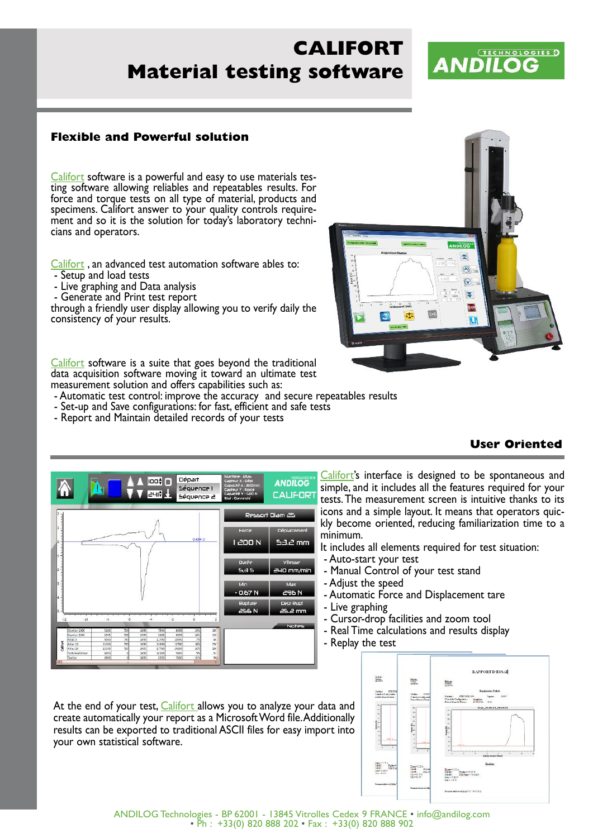# **CALIFORT Material testing software**

# **TECHNOLOGIES 5 ANDILOG**

### **Flexible and Powerful solution**

Califort software is a powerful and easy to use materials testing software allowing reliables and repeatables results. For force and torque tests on all type of material, products and specimens. Califort answer to your quality controls require ment and so it is the solution for today's laboratory techni cians and operators.

Califort, an advanced test automation software ables to:

- Setup and load tests
- Live graphing and Data analysis
- Generate and Print test report

through a friendly user display allowing you to verify daily the consistency of your results.

Califort software is a suite that goes beyond the traditional data acquisition software moving it toward an ultimate test measurement solution and offers capabilities such as:

- Automatic test control: improve the accuracy and secure repeatables results

- Set-up and Save configurations: for fast, efficient and safe tests
- Report and Maintain detailed records of your tests



## **User Oriented**



results can be exported to traditional ASCII files for easy import into your own statistical software.

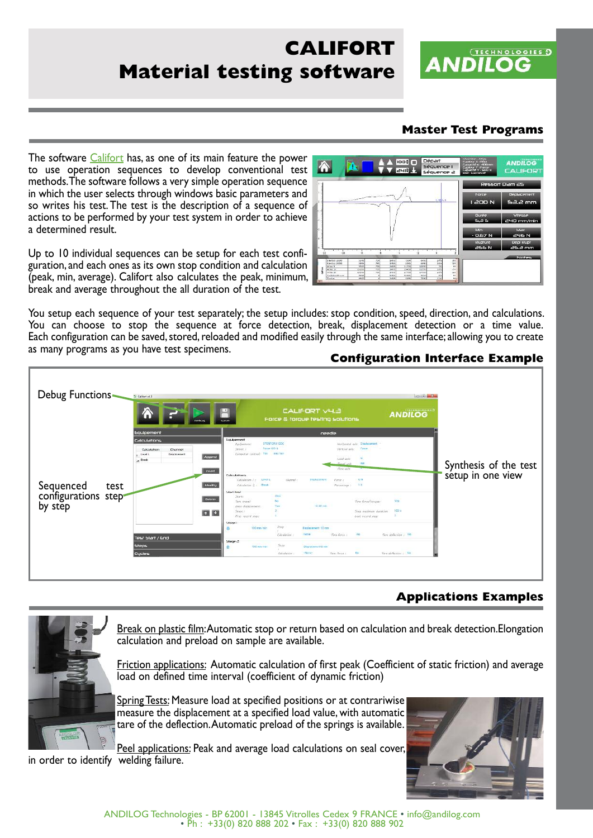# **CALIFORT Material testing software**

## **Master Test Programs**

**ANDILOG** 

**TECHNOLOGIES 3** 

The software *Califort* has, as one of its main feature the power to use operation sequences to develop conventional test methods.The software follows a very simple operation sequence in which the user selects through windows basic parameters and so writes his test.The test is the description of a sequence of actions to be performed by your test system in order to achieve a determined result.

Up to 10 individual sequences can be setup for each test configuration, and each ones as its own stop condition and calculation (peak, min, average). Califort also calculates the peak, minimum, break and average throughout the all duration of the test.

You setup each sequence of your test separately; the setup includes: stop condition, speed, direction, and calculations. You can choose to stop the sequence at force detection, break, displacement detection or a time value. Each configuration can be saved, stored, reloaded and modified easily through the same interface; allowing you to create as many programs as you have test specimens.





# **Applications Examples**



Break on plastic film:Automatic stop or return based on calculation and break detection.Elongation calculation and preload on sample are available.

Friction applications: Automatic calculation of first peak (Coefficient of static friction) and average load on defined time interval (coefficient of dynamic friction)

Spring Tests: Measure load at specified positions or at contrariwise measure the displacement at a specified load value, with automatic tare of the deflection.Automatic preload of the springs is available.

Peel applications: Peak and average load calculations on seal cover, in order to identify welding failure.



ANDILOG Technologies - BP <sup>62001</sup> - <sup>13845</sup> Vitrolles Cedex <sup>9</sup> FRANCE • info@andilog.com • Ph : +33(0) <sup>820</sup> <sup>888</sup> <sup>202</sup> • Fax : +33(0) <sup>820</sup> <sup>888</sup> <sup>902</sup>